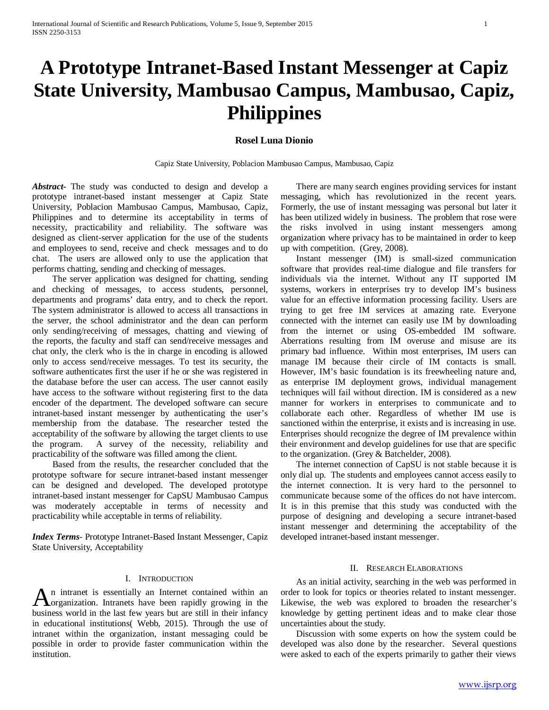# **A Prototype Intranet-Based Instant Messenger at Capiz State University, Mambusao Campus, Mambusao, Capiz, Philippines**

# **Rosel Luna Dionio**

Capiz State University, Poblacion Mambusao Campus, Mambusao, Capiz

*Abstract***-** The study was conducted to design and develop a prototype intranet-based instant messenger at Capiz State University, Poblacion Mambusao Campus, Mambusao, Capiz, Philippines and to determine its acceptability in terms of necessity, practicability and reliability. The software was designed as client-server application for the use of the students and employees to send, receive and check messages and to do chat. The users are allowed only to use the application that performs chatting, sending and checking of messages.

 The server application was designed for chatting, sending and checking of messages, to access students, personnel, departments and programs' data entry, and to check the report. The system administrator is allowed to access all transactions in the server, the school administrator and the dean can perform only sending/receiving of messages, chatting and viewing of the reports, the faculty and staff can send/receive messages and chat only, the clerk who is the in charge in encoding is allowed only to access send/receive messages. To test its security, the software authenticates first the user if he or she was registered in the database before the user can access. The user cannot easily have access to the software without registering first to the data encoder of the department. The developed software can secure intranet-based instant messenger by authenticating the user's membership from the database. The researcher tested the acceptability of the software by allowing the target clients to use the program. A survey of the necessity, reliability and practicability of the software was filled among the client.

 Based from the results, the researcher concluded that the prototype software for secure intranet-based instant messenger can be designed and developed. The developed prototype intranet-based instant messenger for CapSU Mambusao Campus was moderately acceptable in terms of necessity and practicability while acceptable in terms of reliability.

*Index Terms*- Prototype Intranet-Based Instant Messenger, Capiz State University, Acceptability

### I. INTRODUCTION

n intranet is essentially an Internet contained within an An intranet is essentially an Internet contained within an organization. Intranets have been rapidly growing in the business world in the last few years but are still in their infancy in educational institutions( Webb, 2015). Through the use of intranet within the organization, instant messaging could be possible in order to provide faster communication within the institution.

 There are many search engines providing services for instant messaging, which has revolutionized in the recent years. Formerly, the use of instant messaging was personal but later it has been utilized widely in business. The problem that rose were the risks involved in using instant messengers among organization where privacy has to be maintained in order to keep up with competition. (Grey, 2008).

 Instant messenger (IM) is small-sized communication software that provides real-time dialogue and file transfers for individuals via the internet. Without any IT supported IM systems, workers in enterprises try to develop IM's business value for an effective information processing facility. Users are trying to get free IM services at amazing rate. Everyone connected with the internet can easily use IM by downloading from the internet or using OS-embedded IM software. Aberrations resulting from IM overuse and misuse are its primary bad influence. Within most enterprises, IM users can manage IM because their circle of IM contacts is small. However, IM's basic foundation is its freewheeling nature and, as enterprise IM deployment grows, individual management techniques will fail without direction. IM is considered as a new manner for workers in enterprises to communicate and to collaborate each other. Regardless of whether IM use is sanctioned within the enterprise, it exists and is increasing in use. Enterprises should recognize the degree of IM prevalence within their environment and develop guidelines for use that are specific to the organization. (Grey & Batchelder, 2008).

 The internet connection of CapSU is not stable because it is only dial up. The students and employees cannot access easily to the internet connection. It is very hard to the personnel to communicate because some of the offices do not have intercom. It is in this premise that this study was conducted with the purpose of designing and developing a secure intranet-based instant messenger and determining the acceptability of the developed intranet-based instant messenger.

#### II. RESEARCH ELABORATIONS

 As an initial activity, searching in the web was performed in order to look for topics or theories related to instant messenger. Likewise, the web was explored to broaden the researcher's knowledge by getting pertinent ideas and to make clear those uncertainties about the study.

 Discussion with some experts on how the system could be developed was also done by the researcher. Several questions were asked to each of the experts primarily to gather their views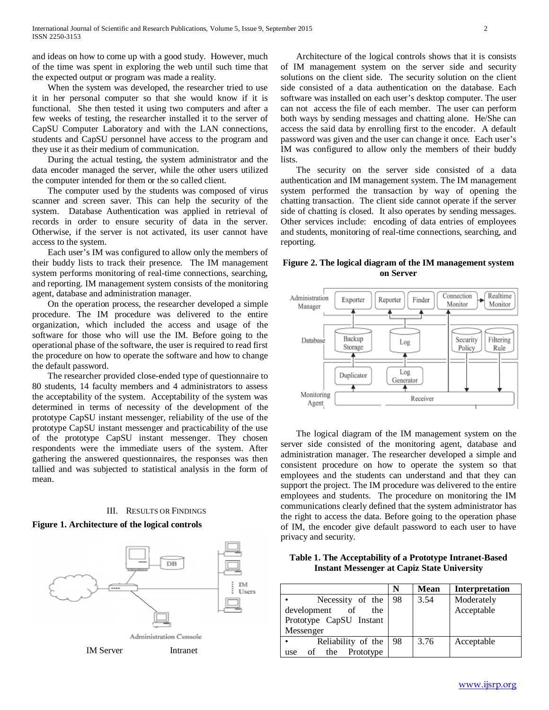and ideas on how to come up with a good study. However, much of the time was spent in exploring the web until such time that the expected output or program was made a reality.

 When the system was developed, the researcher tried to use it in her personal computer so that she would know if it is functional. She then tested it using two computers and after a few weeks of testing, the researcher installed it to the server of CapSU Computer Laboratory and with the LAN connections, students and CapSU personnel have access to the program and they use it as their medium of communication.

 During the actual testing, the system administrator and the data encoder managed the server, while the other users utilized the computer intended for them or the so called client.

 The computer used by the students was composed of virus scanner and screen saver. This can help the security of the system. Database Authentication was applied in retrieval of records in order to ensure security of data in the server. Otherwise, if the server is not activated, its user cannot have access to the system.

 Each user's IM was configured to allow only the members of their buddy lists to track their presence. The IM management system performs monitoring of real-time connections, searching, and reporting. IM management system consists of the monitoring agent, database and administration manager.

 On the operation process, the researcher developed a simple procedure. The IM procedure was delivered to the entire organization, which included the access and usage of the software for those who will use the IM. Before going to the operational phase of the software, the user is required to read first the procedure on how to operate the software and how to change the default password.

 The researcher provided close-ended type of questionnaire to 80 students, 14 faculty members and 4 administrators to assess the acceptability of the system. Acceptability of the system was determined in terms of necessity of the development of the prototype CapSU instant messenger, reliability of the use of the prototype CapSU instant messenger and practicability of the use of the prototype CapSU instant messenger. They chosen respondents were the immediate users of the system. After gathering the answered questionnaires, the responses was then tallied and was subjected to statistical analysis in the form of mean.

# III. RESULTS OR FINDINGS

## **Figure 1. Architecture of the logical controls**



 Architecture of the logical controls shows that it is consists of IM management system on the server side and security solutions on the client side. The security solution on the client side consisted of a data authentication on the database. Each software was installed on each user's desktop computer. The user can not access the file of each member. The user can perform both ways by sending messages and chatting alone. He/She can access the said data by enrolling first to the encoder. A default password was given and the user can change it once. Each user's IM was configured to allow only the members of their buddy lists.

 The security on the server side consisted of a data authentication and IM management system. The IM management system performed the transaction by way of opening the chatting transaction. The client side cannot operate if the server side of chatting is closed. It also operates by sending messages. Other services include: encoding of data entries of employees and students, monitoring of real-time connections, searching, and reporting.

# **Figure 2. The logical diagram of the IM management system on Server**



 The logical diagram of the IM management system on the server side consisted of the monitoring agent, database and administration manager. The researcher developed a simple and consistent procedure on how to operate the system so that employees and the students can understand and that they can support the project. The IM procedure was delivered to the entire employees and students. The procedure on monitoring the IM communications clearly defined that the system administrator has the right to access the data. Before going to the operation phase of IM, the encoder give default password to each user to have privacy and security.

| Table 1. The Acceptability of a Prototype Intranet-Based |
|----------------------------------------------------------|
| <b>Instant Messenger at Capiz State University</b>       |

|                         | N  | <b>Mean</b> | Interpretation |
|-------------------------|----|-------------|----------------|
| Necessity of the        | 98 | 3.54        | Moderately     |
| development of<br>the   |    |             | Acceptable     |
| Prototype CapSU Instant |    |             |                |
| Messenger               |    |             |                |
| Reliability of the      | 98 | 3.76        | Acceptable     |
| of the Prototype<br>use |    |             |                |